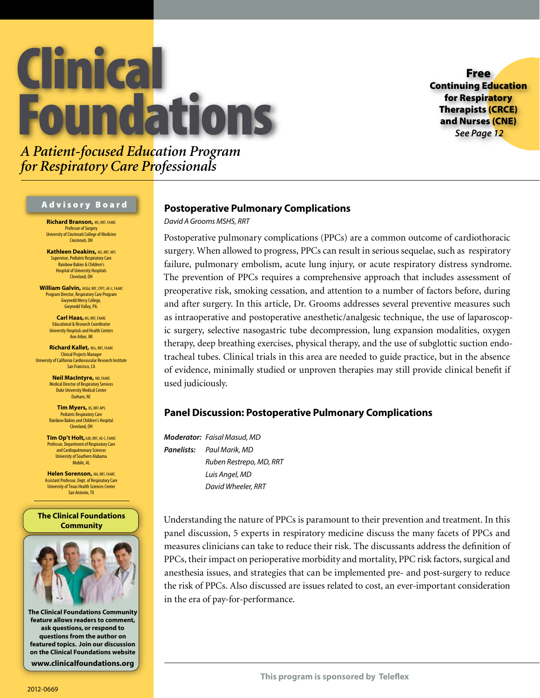# Clinical Foundations

Free Continuing Education for Respiratory Therapists (CRCE) and Nurses (CNE) *See Page 12*

# *A Patient-focused Education Program for Respiratory Care Professionals*

### Advisory Board

**Richard Branson,** MS, RRT, FAARC Professor of Surgery University of Cincinnati College of Medicine Cincinnati, OH

**Kathleen Deakins, MS, RRT, NPS** Supervisor, Pediatric Respiratory Care Rainbow Babies & Children's Hospital of University Hospitals Cleveland, OH

**William Galvin, MSEd, RRT, CPFT, AE-C, FAARC** Program Director, Respiratory Care Program Gwynedd Mercy College, Gwynedd Valley, PA.

> **Carl Haas,** MS, RRT, FAARC Educational & Research Coordinator University Hospitals and Health Centers Ann Arbor, MI

**Richard Kallet, MSc, RRT, FAARC** Clinical Projects Manager University of California Cardiovascular Research Institute San Francisco, CA

> **Neil MacIntyre, MD, FAARC** Medical Director of Respiratory Services Duke University Medical Center Durham, NC

**Tim Myers,** BS, RRT-NPS Pediatric Respiratory Care Rainbow Babies and Children's Hospital Cleveland, OH

**Tim Op't Holt,** EdD, RRT, AE-C, FAARC Professor, Department of Respiratory Care and Cardiopulmonary Sciences University of Southern Alabama Mobile, AL

**Helen Sorenson, MA, RRT, FAARC** Assistant Professor, Dept. of Respiratory Care University of Texas Health Sciences Center San Antonio, TX

### **The Clinical Foundations Community**



**The Clinical Foundations Community feature allows readers to comment, ask questions, or respond to questions from the author on featured topics. Join our discussion on the Clinical Foundations website www.clinicalfoundations.org**

### **Postoperative Pulmonary Complications**

*David A Grooms MSHS, RRT*

Postoperative pulmonary complications (PPCs) are a common outcome of cardiothoracic surgery. When allowed to progress, PPCs can result in serious sequelae, such as respiratory failure, pulmonary embolism, acute lung injury, or acute respiratory distress syndrome. The prevention of PPCs requires a comprehensive approach that includes assessment of preoperative risk, smoking cessation, and attention to a number of factors before, during and after surgery. In this article, Dr. Grooms addresses several preventive measures such as intraoperative and postoperative anesthetic/analgesic technique, the use of laparoscopic surgery, selective nasogastric tube decompression, lung expansion modalities, oxygen therapy, deep breathing exercises, physical therapy, and the use of subglottic suction endotracheal tubes. Clinical trials in this area are needed to guide practice, but in the absence of evidence, minimally studied or unproven therapies may still provide clinical benefit if used judiciously.

### **Panel Discussion: Postoperative Pulmonary Complications**

*Moderator: Faisal Masud, MD Panelists: Paul Marik, MD Ruben Restrepo, MD, RRT Luis Angel, MD David Wheeler, RRT*

Understanding the nature of PPCs is paramount to their prevention and treatment. In this panel discussion, 5 experts in respiratory medicine discuss the many facets of PPCs and measures clinicians can take to reduce their risk. The discussants address the definition of PPCs, their impact on perioperative morbidity and mortality, PPC risk factors, surgical and anesthesia issues, and strategies that can be implemented pre- and post-surgery to reduce the risk of PPCs. Also discussed are issues related to cost, an ever-important consideration in the era of pay-for-performance.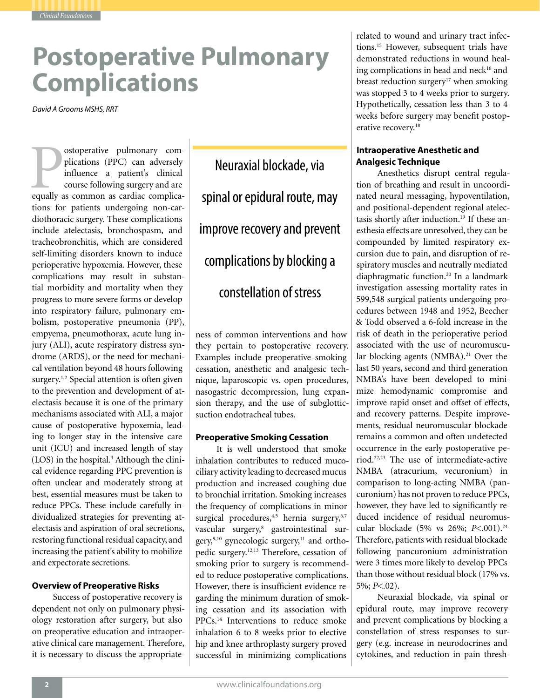# **Postoperative Pulmonary Complications**

*David A Grooms MSHS, RRT*

*Clinical Foundations*

ostoperative pulmonary com-<br>plications (PPC) can adversely<br>influence a patient's clinical<br>course following surgery and are<br>equally as common as cardiac complicaplications (PPC) can adversely influence a patient's clinical course following surgery and are tions for patients undergoing non-cardiothoracic surgery. These complications include atelectasis, bronchospasm, and tracheobronchitis, which are considered self-limiting disorders known to induce perioperative hypoxemia. However, these complications may result in substantial morbidity and mortality when they progress to more severe forms or develop into respiratory failure, pulmonary embolism, postoperative pneumonia (PP), empyema, pneumothorax, acute lung injury (ALI), acute respiratory distress syndrome (ARDS), or the need for mechanical ventilation beyond 48 hours following surgery.<sup>1,2</sup> Special attention is often given to the prevention and development of atelectasis because it is one of the primary mechanisms associated with ALI, a major cause of postoperative hypoxemia, leading to longer stay in the intensive care unit (ICU) and increased length of stay (LOS) in the hospital.3 Although the clinical evidence regarding PPC prevention is often unclear and moderately strong at best, essential measures must be taken to reduce PPCs. These include carefully individualized strategies for preventing atelectasis and aspiration of oral secretions, restoring functional residual capacity, and increasing the patient's ability to mobilize and expectorate secretions.

### **Overview of Preoperative Risks**

Success of postoperative recovery is dependent not only on pulmonary physiology restoration after surgery, but also on preoperative education and intraoperative clinical care management. Therefore, it is necessary to discuss the appropriate-

Neuraxial blockade, via spinal or epidural route, may improve recovery and prevent complications by blocking a constellation of stress

ness of common interventions and how they pertain to postoperative recovery. Examples include preoperative smoking cessation, anesthetic and analgesic technique, laparoscopic vs. open procedures, nasogastric decompression, lung expansion therapy, and the use of subglotticsuction endotracheal tubes.

### **Preoperative Smoking Cessation**

It is well understood that smoke inhalation contributes to reduced mucociliary activity leading to decreased mucus production and increased coughing due to bronchial irritation. Smoking increases the frequency of complications in minor surgical procedures,<sup>4,5</sup> hernia surgery,<sup>6,7</sup> vascular surgery,<sup>8</sup> gastrointestinal surgery,<sup>9,10</sup> gynecologic surgery,<sup>11</sup> and orthopedic surgery.12,13 Therefore, cessation of smoking prior to surgery is recommended to reduce postoperative complications. However, there is insufficient evidence regarding the minimum duration of smoking cessation and its association with PPCs.14 Interventions to reduce smoke inhalation 6 to 8 weeks prior to elective hip and knee arthroplasty surgery proved successful in minimizing complications

related to wound and urinary tract infections.15 However, subsequent trials have demonstrated reductions in wound healing complications in head and neck<sup>16</sup> and breast reduction surgery<sup>17</sup> when smoking was stopped 3 to 4 weeks prior to surgery. Hypothetically, cessation less than 3 to 4 weeks before surgery may benefit postoperative recovery.<sup>18</sup>

### **Intraoperative Anesthetic and Analgesic Technique**

Anesthetics disrupt central regulation of breathing and result in uncoordinated neural messaging, hypoventilation, and positional-dependent regional atelectasis shortly after induction.<sup>19</sup> If these anesthesia effects are unresolved, they can be compounded by limited respiratory excursion due to pain, and disruption of respiratory muscles and neutrally mediated diaphragmatic function.<sup>20</sup> In a landmark investigation assessing mortality rates in 599,548 surgical patients undergoing procedures between 1948 and 1952, Beecher & Todd observed a 6-fold increase in the risk of death in the perioperative period associated with the use of neuromuscular blocking agents (NMBA).<sup>21</sup> Over the last 50 years, second and third generation NMBA's have been developed to minimize hemodynamic compromise and improve rapid onset and offset of effects, and recovery patterns. Despite improvements, residual neuromuscular blockade remains a common and often undetected occurrence in the early postoperative period.22,23 The use of intermediate-active NMBA (atracurium, vecuronium) in comparison to long-acting NMBA (pancuronium) has not proven to reduce PPCs, however, they have led to significantly reduced incidence of residual neuromuscular blockade (5% vs 26%; *P*<.001).<sup>24</sup> Therefore, patients with residual blockade following pancuronium administration were 3 times more likely to develop PPCs than those without residual block (17% vs. 5%; *P*<.02).

Neuraxial blockade, via spinal or epidural route, may improve recovery and prevent complications by blocking a constellation of stress responses to surgery (e.g. increase in neurodocrines and cytokines, and reduction in pain thresh-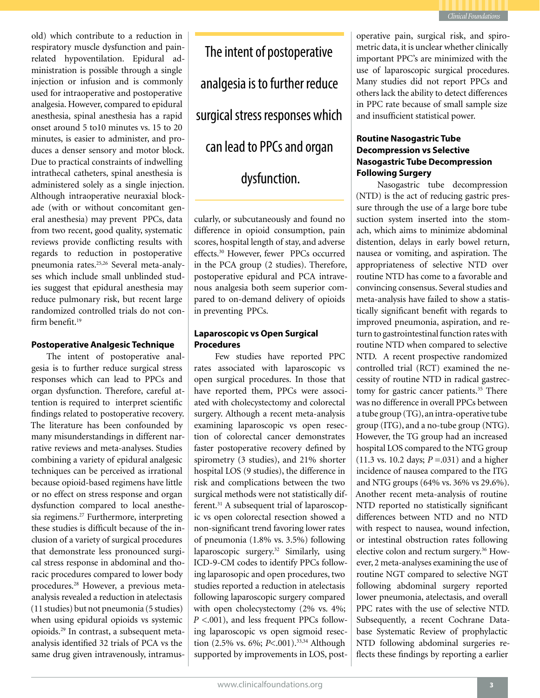

old) which contribute to a reduction in respiratory muscle dysfunction and painrelated hypoventilation. Epidural administration is possible through a single injection or infusion and is commonly used for intraoperative and postoperative analgesia. However, compared to epidural anesthesia, spinal anesthesia has a rapid onset around 5 to10 minutes vs. 15 to 20 minutes, is easier to administer, and produces a denser sensory and motor block. Due to practical constraints of indwelling intrathecal catheters, spinal anesthesia is administered solely as a single injection. Although intraoperative neuraxial blockade (with or without concomitant general anesthesia) may prevent PPCs, data from two recent, good quality, systematic reviews provide conflicting results with regards to reduction in postoperative pneumonia rates.25,26 Several meta-analyses which include small unblinded studies suggest that epidural anesthesia may reduce pulmonary risk, but recent large randomized controlled trials do not confirm benefit.<sup>19</sup>

### **Postoperative Analgesic Technique**

The intent of postoperative analgesia is to further reduce surgical stress responses which can lead to PPCs and organ dysfunction. Therefore, careful attention is required to interpret scientific findings related to postoperative recovery. The literature has been confounded by many misunderstandings in different narrative reviews and meta-analyses. Studies combining a variety of epidural analgesic techniques can be perceived as irrational because opioid-based regimens have little or no effect on stress response and organ dysfunction compared to local anesthesia regimens.<sup>27</sup> Furthermore, interpreting these studies is difficult because of the inclusion of a variety of surgical procedures that demonstrate less pronounced surgical stress response in abdominal and thoracic procedures compared to lower body procedures.28 However, a previous metaanalysis revealed a reduction in atelectasis (11 studies) but not pneumonia (5 studies) when using epidural opioids vs systemic opioids.29 In contrast, a subsequent metaanalysis identified 32 trials of PCA vs the same drug given intravenously, intramus-

The intent of postoperative analgesia is to further reduce surgical stress responses which can lead to PPCs and organ dysfunction.

cularly, or subcutaneously and found no difference in opioid consumption, pain scores, hospital length of stay, and adverse effects.<sup>30</sup> However, fewer PPCs occurred in the PCA group (2 studies). Therefore, postoperative epidural and PCA intravenous analgesia both seem superior compared to on-demand delivery of opioids in preventing PPCs.

### **Laparoscopic vs Open Surgical Procedures**

Few studies have reported PPC rates associated with laparoscopic vs open surgical procedures. In those that have reported them, PPCs were associated with cholecystectomy and colorectal surgery. Although a recent meta-analysis examining laparoscopic vs open resection of colorectal cancer demonstrates faster postoperative recovery defined by spirometry (3 studies), and 21% shorter hospital LOS (9 studies), the difference in risk and complications between the two surgical methods were not statistically different.<sup>31</sup> A subsequent trial of laparoscopic vs open colorectal resection showed a non-significant trend favoring lower rates of pneumonia (1.8% vs. 3.5%) following laparoscopic surgery.32 Similarly, using ICD-9-CM codes to identify PPCs following laparosopic and open procedures, two studies reported a reduction in atelectasis following laparoscopic surgery compared with open cholecystectomy (2% vs. 4%; *P* <.001), and less frequent PPCs following laparoscopic vs open sigmoid resection (2.5% vs. 6%; *P*<.001).33,34 Although supported by improvements in LOS, postoperative pain, surgical risk, and spirometric data, it is unclear whether clinically important PPC's are minimized with the use of laparoscopic surgical procedures. Many studies did not report PPCs and others lack the ability to detect differences in PPC rate because of small sample size and insufficient statistical power.

### **Routine Nasogastric Tube Decompression vs Selective Nasogastric Tube Decompression Following Surgery**

Nasogastric tube decompression (NTD) is the act of reducing gastric pressure through the use of a large bore tube suction system inserted into the stomach, which aims to minimize abdominal distention, delays in early bowel return, nausea or vomiting, and aspiration. The appropriateness of selective NTD over routine NTD has come to a favorable and convincing consensus. Several studies and meta-analysis have failed to show a statistically significant benefit with regards to improved pneumonia, aspiration, and return to gastrointestinal function rates with routine NTD when compared to selective NTD. A recent prospective randomized controlled trial (RCT) examined the necessity of routine NTD in radical gastrectomy for gastric cancer patients.<sup>35</sup> There was no difference in overall PPCs between a tube group (TG), an intra-operative tube group (ITG), and a no-tube group (NTG). However, the TG group had an increased hospital LOS compared to the NTG group (11.3 vs. 10.2 days; *P* =.031) and a higher incidence of nausea compared to the ITG and NTG groups (64% vs. 36% vs 29.6%). Another recent meta-analysis of routine NTD reported no statistically significant differences between NTD and no NTD with respect to nausea, wound infection, or intestinal obstruction rates following elective colon and rectum surgery.36 However, 2 meta-analyses examining the use of routine NGT compared to selective NGT following abdominal surgery reported lower pneumonia, atelectasis, and overall PPC rates with the use of selective NTD. Subsequently, a recent Cochrane Database Systematic Review of prophylactic NTD following abdominal surgeries reflects these findings by reporting a earlier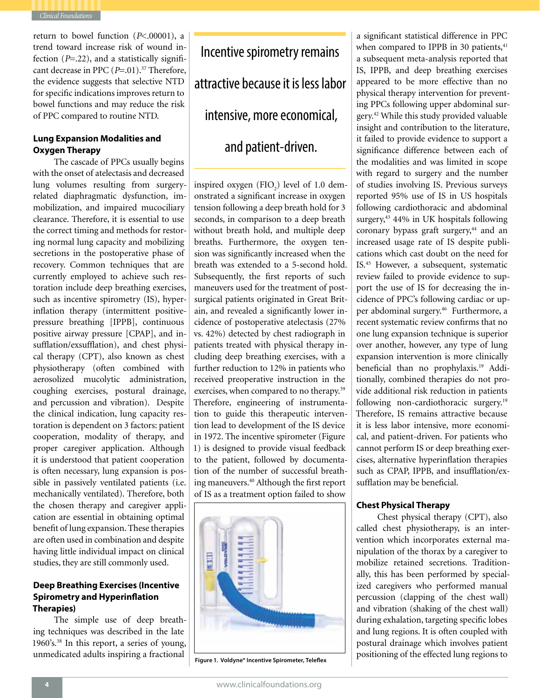

return to bowel function (*P*<.00001), a trend toward increase risk of wound infection (*P*=.22), and a statistically significant decrease in PPC ( $P=.01$ ).<sup>37</sup> Therefore, the evidence suggests that selective NTD for specific indications improves return to bowel functions and may reduce the risk of PPC compared to routine NTD.

### **Lung Expansion Modalities and Oxygen Therapy**

The cascade of PPCs usually begins with the onset of atelectasis and decreased lung volumes resulting from surgeryrelated diaphragmatic dysfunction, immobilization, and impaired mucociliary clearance. Therefore, it is essential to use the correct timing and methods for restoring normal lung capacity and mobilizing secretions in the postoperative phase of recovery. Common techniques that are currently employed to achieve such restoration include deep breathing exercises, such as incentive spirometry (IS), hyperinflation therapy (intermittent positivepressure breathing [IPPB], continuous positive airway pressure [CPAP], and insufflation/exsufflation), and chest physical therapy (CPT), also known as chest physiotherapy (often combined with aerosolized mucolytic administration, coughing exercises, postural drainage, and percussion and vibration). Despite the clinical indication, lung capacity restoration is dependent on 3 factors: patient cooperation, modality of therapy, and proper caregiver application. Although it is understood that patient cooperation is often necessary, lung expansion is possible in passively ventilated patients (i.e. mechanically ventilated). Therefore, both the chosen therapy and caregiver application are essential in obtaining optimal benefit of lung expansion. These therapies are often used in combination and despite having little individual impact on clinical studies, they are still commonly used.

### **Deep Breathing Exercises (Incentive Spirometry and Hyperinflation Therapies)**

The simple use of deep breathing techniques was described in the late 1960's.38 In this report, a series of young, unmedicated adults inspiring a fractional

Incentive spirometry remains attractive because it is less labor intensive, more economical, and patient-driven.

inspired oxygen  $(FIO<sub>2</sub>)$  level of 1.0 demonstrated a significant increase in oxygen tension following a deep breath hold for 3 seconds, in comparison to a deep breath without breath hold, and multiple deep breaths. Furthermore, the oxygen tension was significantly increased when the breath was extended to a 5-second hold. Subsequently, the first reports of such maneuvers used for the treatment of postsurgical patients originated in Great Britain, and revealed a significantly lower incidence of postoperative atelectasis (27% vs. 42%) detected by chest radiograph in patients treated with physical therapy including deep breathing exercises, with a further reduction to 12% in patients who received preoperative instruction in the exercises, when compared to no therapy.<sup>39</sup> Therefore, engineering of instrumentation to guide this therapeutic intervention lead to development of the IS device in 1972. The incentive spirometer (Figure 1) is designed to provide visual feedback to the patient, followed by documentation of the number of successful breathing maneuvers.<sup>40</sup> Although the first report of IS as a treatment option failed to show



**Figure 1. Voldyne® Incentive Spirometer, Teleflex**

a significant statistical difference in PPC when compared to IPPB in 30 patients,<sup>41</sup> a subsequent meta-analysis reported that IS, IPPB, and deep breathing exercises appeared to be more effective than no physical therapy intervention for preventing PPCs following upper abdominal surgery.42 While this study provided valuable insight and contribution to the literature, it failed to provide evidence to support a significance difference between each of the modalities and was limited in scope with regard to surgery and the number of studies involving IS. Previous surveys reported 95% use of IS in US hospitals following cardiothoracic and abdominal surgery,<sup>43</sup> 44% in UK hospitals following coronary bypass graft surgery,<sup>44</sup> and an increased usage rate of IS despite publications which cast doubt on the need for IS.45 However, a subsequent, systematic review failed to provide evidence to support the use of IS for decreasing the incidence of PPC's following cardiac or upper abdominal surgery.<sup>46</sup> Furthermore, a recent systematic review confirms that no one lung expansion technique is superior over another, however, any type of lung expansion intervention is more clinically beneficial than no prophylaxis.19 Additionally, combined therapies do not provide additional risk reduction in patients following non-cardiothoracic surgery.<sup>19</sup> Therefore, IS remains attractive because it is less labor intensive, more economical, and patient-driven. For patients who cannot perform IS or deep breathing exercises, alternative hyperinflation therapies such as CPAP, IPPB, and insufflation/exsufflation may be beneficial.

### **Chest Physical Therapy**

Chest physical therapy (CPT), also called chest physiotherapy, is an intervention which incorporates external manipulation of the thorax by a caregiver to mobilize retained secretions. Traditionally, this has been performed by specialized caregivers who performed manual percussion (clapping of the chest wall) and vibration (shaking of the chest wall) during exhalation, targeting specific lobes and lung regions. It is often coupled with postural drainage which involves patient positioning of the effected lung regions to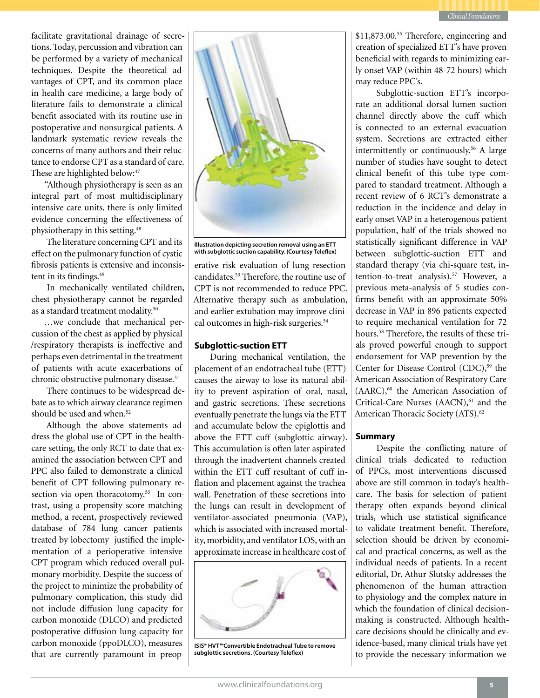

facilitate gravitational drainage of secretions. Today, percussion and vibration can be performed by a variety of mechanical techniques. Despite the theoretical advantages of CPT, and its common place in health care medicine, a large body of literature fails to demonstrate a clinical benefit associated with its routine use in postoperative and nonsurgical patients. A landmark systematic review reveals the concerns of many authors and their reluctance to endorse CPT as a standard of care. These are highlighted below:<sup>47</sup>

"Although physiotherapy is seen as an integral part of most multidisciplinary intensive care units, there is only limited evidence concerning the effectiveness of physiotherapy in this setting.48

The literature concerning CPT and its effect on the pulmonary function of cystic fibrosis patients is extensive and inconsistent in its findings.<sup>49</sup>

In mechanically ventilated children, chest physiotherapy cannot be regarded as a standard treatment modality.50

…we conclude that mechanical percussion of the chest as applied by physical /respiratory therapists is ineffective and perhaps even detrimental in the treatment of patients with acute exacerbations of chronic obstructive pulmonary disease.<sup>51</sup>

There continues to be widespread debate as to which airway clearance regimen should be used and when.<sup>52</sup>

Although the above statements address the global use of CPT in the healthcare setting, the only RCT to date that examined the association between CPT and PPC also failed to demonstrate a clinical benefit of CPT following pulmonary resection via open thoracotomy.<sup>53</sup> In contrast, using a propensity score matching method, a recent, prospectively reviewed database of 784 lung cancer patients treated by lobectomy justified the implementation of a perioperative intensive CPT program which reduced overall pulmonary morbidity. Despite the success of the project to minimize the probability of pulmonary complication, this study did not include diffusion lung capacity for carbon monoxide (DLCO) and predicted postoperative diffusion lung capacity for carbon monoxide (ppoDLCO), measures that are currently paramount in preop-





erative risk evaluation of lung resection candidates.53 Therefore, the routine use of CPT is not recommended to reduce PPC. Alternative therapy such as ambulation, and earlier extubation may improve clinical outcomes in high-risk surgeries.<sup>54</sup>

### **Subglottic-suction ETT**

During mechanical ventilation, the placement of an endotracheal tube (ETT) causes the airway to lose its natural ability to prevent aspiration of oral, nasal, and gastric secretions. These secretions eventually penetrate the lungs via the ETT and accumulate below the epiglottis and above the ETT cuff (subglottic airway). This accumulation is often later aspirated through the inadvertent channels created within the ETT cuff resultant of cuff inflation and placement against the trachea wall. Penetration of these secretions into the lungs can result in development of ventilator-associated pneumonia (VAP), which is associated with increased mortality, morbidity, and ventilator LOS, with an approximate increase in healthcare cost of



**ISIS® HVT™Convertible Endotracheal Tube to remove subglottic secretions. (Courtesy Teleflex)**

\$11,873.00.55 Therefore, engineering and creation of specialized ETT's have proven beneficial with regards to minimizing early onset VAP (within 48-72 hours) which may reduce PPC's.

Subglottic-suction ETT's incorporate an additional dorsal lumen suction channel directly above the cuff which is connected to an external evacuation system. Secretions are extracted either intermittently or continuously.56 A large number of studies have sought to detect clinical benefit of this tube type compared to standard treatment. Although a recent review of 6 RCT's demonstrate a reduction in the incidence and delay in early onset VAP in a heterogenous patient population, half of the trials showed no statistically significant difference in VAP between subglottic-suction ETT and standard therapy (via chi-square test, intention-to-treat analysis).57 However, a previous meta-analysis of 5 studies confirms benefit with an approximate 50% decrease in VAP in 896 patients expected to require mechanical ventilation for 72 hours.58 Therefore, the results of these trials proved powerful enough to support endorsement for VAP prevention by the Center for Disease Control (CDC),<sup>59</sup> the American Association of Respiratory Care (AARC),<sup>60</sup> the American Association of Critical-Care Nurses (AACN),<sup>61</sup> and the American Thoracic Society (ATS).<sup>62</sup>

### **Summary**

Despite the conflicting nature of clinical trials dedicated to reduction of PPCs, most interventions discussed above are still common in today's healthcare. The basis for selection of patient therapy often expands beyond clinical trials, which use statistical significance to validate treatment benefit. Therefore, selection should be driven by economical and practical concerns, as well as the individual needs of patients. In a recent editorial, Dr. Athur Slutsky addresses the phenomenon of the human attraction to physiology and the complex nature in which the foundation of clinical decisionmaking is constructed. Although healthcare decisions should be clinically and evidence-based, many clinical trials have yet to provide the necessary information we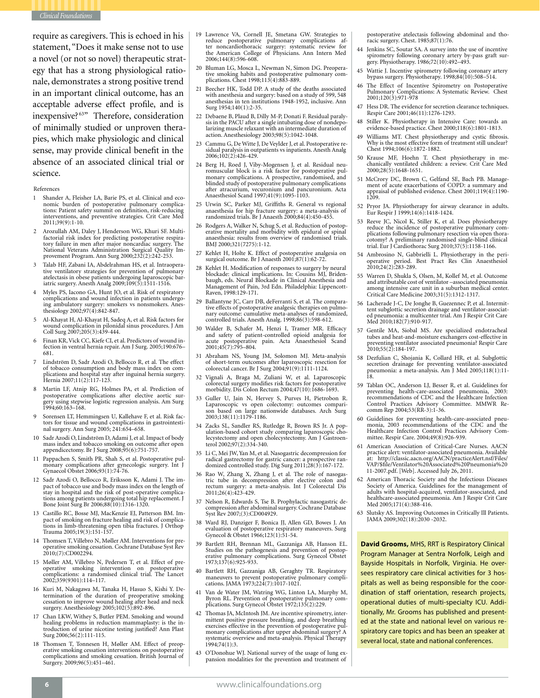

require as caregivers. This is echoed in his statement, "Does it make sense not to use a novel (or not so novel) therapeutic strategy that has a strong physiological rationale, demonstrates a strong positive trend in an important clinical outcome, has an acceptable adverse effect profile, and is inexpensive? 63" Therefore, consideration of minimally studied or unproven therapies, which make physiologic and clinical sense, may provide clinical benefit in the absence of an associated clinical trial or science.

#### References

- Shander A, Fleisher LA, Barie PS, et al. Clinical and economic burden of postoperative pulmonary complica-tions: Patient safety summit on definition, risk-reducing interventions, and preventive strategies. Crit Care Med 2011;39(9):1-10.
- 2 Arozullah AM, Daley J, Henderson WG, Khuri SF. Multifactorial risk index for predicting postoperative respira-tory failure in men after major noncardiac surgery. The National Veterans Administration Surgical Quality Improvement Program. Ann Surg 2000;232(2):242-253.
- <sup>3</sup> Talab HF, Zabani IA, Abdelrahman HS, et al. Intraopera- tive ventilatory strategies for prevention of pulmonary atelectasis in obese patients undergoing laparoscopic bar- iatric surgery. Anesth Analg 2009;109(5):1511-1516.
- 4 Myles PS, Iacono GA, Hunt JO, et al. Risk of respiratory complications and wound infection in patients undergo-ing ambulatory surgery: smokers vs nonsmokers. Anes- thesiology 2002;97(4):842-847.
- 5 Al-Khayat H, Al-Khayat H, Sadeq A, et al. Risk factors for wound complication in pilonidal sinus procedures. J Am Coll Surg 2007;205(3):439-444.
- 6 Finan KR, Vick CC, Kiefe CI, et al. Predictors of wound in-fection in ventral hernia repair. Am J Surg. 2005;190:676– 681.
- Lindström D, Sadr Azodi O, Bellocco R, et al. The effect of tobacco consumption and body mass index on complications and hospital stay after inguinal hernia surgery. Hernia 2007;11(2):117-123.
- 8 Martin LF, Atnip RG, Holmes PA, et al. Prediction of postoperative complications after elective aortic surgery using stepwise logistic regression analysis. Am Surg gery using ...<sub>1</sub><br>1994;60:163–168.
- <sup>9</sup> Sorensen LT, Hemmingsen U, Kallehave F, et al. Risk fac- tors for tissue and wound complications in gastrointesti- nal surgery. Ann Surg 2005; 241:654–658.
- 10 Sadr Azodi O, Lindström D, Adami J, et al. Impact of body mass index and tobacco smoking on outcome after open appendicectomy. Br J Surg 2008;95(6):751-757.
- <sup>11</sup> Pappachen S, Smith PR, Shah S, et al. Postoperative pul- monary complications after gynecologic surgery. Int J Gynaecol Obstet 2006;93(1):74-76.
- 12 Sadr Azodi O, Bellocco R, Eriksson K, Adami J. The impact of tobacco use and body mass index on the length of stay in hospital and the risk of post-operative complica-tions among patients undergoing total hip replacement. J Bone Joint Surg Br 2006;88(10):1316-1320.
- <sup>13</sup> Castillo RC, Bosse MJ, MacKenzie EJ, Patterson BM. Im- pact of smoking on fracture healing and risk of complica- tions in limb-threatening open tibia fractures. J Orthop Trauma 2005;19(3):151-157.
- <sup>14</sup> Thomsen T, Villebro N, Møller AM. Interventions for pre- operative smoking cessation. Cochrane Database Syst Rev 2010;(7):CD002294.
- 15 Møller AM, Villebro N, Pedersen T, et al. Effect of preoperative smoking intervention on postoperative complications: a randomised clinical trial. The Lancet 2002;359(9301):114–117.
- 16 Kuri M, Nakagawa M, Tanaka H, Hasuo S, Kishi Y. De-termination of the duration of preoperative smoking cessation to improve wound healing after head and neck surgery. Anesthesiology 2005;102(5):892-896.
- 17 Chan LKW, Withey S, Butler PEM. Smoking and wound healing problems in reduction mammaplasty: is the introduction of urine nicotine testing justified? Ann Plast Surg 2006;56(2):111-115.
- 18 Thomsen T, Tonnesen H, Møller AM. Effect of preoperative smoking cessation interventions on postoperative complications and smoking cessation. British Journal of Surgery. 2009;96(5):451–461.
- 19 Lawrence VA, Cornell JE, Smetana GW. Strategies to reduce postoperative pulmonary complications af- ter noncardiothoracic surgery: systematic review for the American College of Physicians. Ann Intern Med 2006;144(8):596-608.
- <sup>20</sup> Bluman LG, Mosca L, Newman N, Simon DG. Preopera- tive smoking habits and postoperative pulmonary com- plications. Chest 1998;113(4):883-889.
- 21 Beecher HK, Todd DP. A study of the deaths associated with anesthesia and surgery: based on a study of 599, 548 anesthesias in ten institutions 1948-1952, inclusive. Ann Surg 1954;140(1):2-35.
- 22 Debaene B, Plaud B, Dilly M-P, Donati F. Residual paralysis in the PACU after a single intubating dose of nondepolarizing muscle relaxant with an intermediate duration of action. Anesthesiology 2003;98(5):1042-1048.
- <sup>23</sup> Cammu G, De Witte J, De Veylder J, et al. Postoperative re- sidual paralysis in outpatients vs inpatients. Anesth Analg 2006;102(2):426-429.
- <sup>24</sup> Berg H, Roed J, Viby-Mogensen J, et al. Residual neu- romuscular block is a risk factor for postoperative pul- monary complications. A prospective, randomised, and blinded study of postoperative pulmonary complications after atracurium, vecuronium and pancuronium. Acta Anaesthesiol Scand 1997;41(9):1095-1103.
- 25 Urwin SC, Parker MJ, Griffiths R. General vs regional anaesthesia for hip fracture surgery: a meta-analysis of randomized trials. Br J Anaesth 2000;84(4):450-455.
- 26 Rodgers A, Walker N, Schug S, et al. Reduction of postoperative mortality and morbidity with epidural or spinal anaesthesia: results from overview of randomised trials. BMJ 2000;321(7275):1-12.
- 27 Kehlet H, Holte K. Effect of postoperative analgesia on surgical outcome. Br J Anaesth 2001;87(1):62-72.
- Kehlet H. Modification of responses to surgery by neural blockade: clinical implications. In: Cousins MJ, Briden- baugh, eds. Neural Blockade in Clinical Anesthesia and Management of Pain, 3rd Edn. Philadelphia: Lippencott-Raven, 1998:129-171.
- <sup>29</sup> Ballantyne JC, Carr DB, deFerranti S, et al. The compara- tive effects of postoperative analgesic therapies on pulmo- nary outcome: cumulative meta-analyses of randomized, controlled trials. Anesth Analg. 1998;86(3):598-612.
- 30 Walder B, Schafer M, Henzi I, Tramer MR. Efficacy and safety of patient-controlled opioid analgesia for acute postoperative pain. Acta Anaesthesiol Scand 2001;45(7):795–804.
- 31 Abraham NS, Young JM, Solomon MJ. Meta-analysis of short-term outcomes after laparoscopic resection for colorectal cancer. Br J Surg 2004;91(9):1111-1124.
- 32 Vignali A, Braga M, Zuliani W, et al. Laparoscopic colorectal surgery modifies risk factors for postoperative morbidity. Dis Colon Rectum 2004;47(10):1686-1693.
- 33 Guller U, Jain N, Hervey S, Purves H, Pietrobon R. Laparoscopic vs open colectomy: outcomes compari- son based on large nationwide databases. Arch Surg 2003;138(11):1179-1186.
- 34 Zacks SL, Sandler RS, Rutledge R, Brown RS Jr. A population-based cohort study comparing laparoscopic cholecystectomy and open cholecystectomy. Am J Gastroen-terol 2002;97(2):334-340.
- Li C, Mei JW, Yan M, et al. Nasogastric decompression for radical gastrectomy for gastric cancer: a prospective ran-domized controlled study. Dig Surg 2011;28(3):167-172.
- <sup>36</sup> Rao W, Zhang X, Zhang J, et al. The role of nasogas- tric tube in decompression after elective colon and rectum surgery: a meta-analysis. Int J Colorectal Dis 2011;26(4):423-429.
- <sup>37</sup> Nelson R, Edwards S, Tse B. Prophylactic nasogastric de- compression after abdominal surgery. Cochrane Database Syst Rev 2007;(3):CD004929.
- 38 Ward RJ, Danziger F, Bonica JJ, Allen GD, Bowes J. An evaluation of postoperative respiratory maneuvers. Surg Gynecol & Obstet 1966;123(1):51-54.
- 39 Bartlett RH, Brennan ML, Gazzaniga AB, Hanson EL. erative pulmonary complications. Surg Gynecol Obstet 1973;137(6):925-933.
- 40 Bartlett RH, Gazzaniga AB, Geraghty TR. Respiratory maneuvers to prevent postoperative pulmonary compli- cations. JAMA 1973;224(7):1017-1021.
- 41 Van de Water JM, Watring WG, Linton LA, Murphy M, Byron RL. Prevention of postoperative pulmonary com-plications. Surg Gynecol Obstet 1972;135(2):229.
- 42 Thomas JA, McIntosh JM. Are incentive spirometry, inter-<br>mittent positive pressure breathing, and deep breathing<br>exercises effective in the prevention of postoperative pulmonary complications after upper abdominal surgery? A systematic overview and meta-analysis. Physical Therapy  $1994;74(1):3.$
- <sup>43</sup> O'Donohue WJ. National survey of the usage of lung ex- pansion modalities for the prevention and treatment of

postoperative atelectasis following abdominal and thoracic surgery. Chest. 1985;87(1):76.

- 44 Jenkins SC, Soutar SA. A survey into the use of incentive spirometry following coronary artery by-pass graft surgery. Physiotherapy. 1986;72(10):492–493.
- 45 Wattie J. Incentive spirometry following coronary artery bypass surgery. Physiotherapy. 1998;84(10):508–514.
- The Effect of Incentive Spirometry on Postoperative Pulmonary Complications: A Systematic Review. Chest 2001;120(3):971-978
- Hess DR. The evidence for secretion clearance techniques. Respir Care 2001;46(11):1276-1293.
- 48 Stiller K. Physiotherapy in Intensive Care: towards an evidence-based practice. Chest 2000;118(6):1801-1813.
- Williams MT. Chest physiotherapy and cystic fibrosis. Why is the most effective form of treatment still unclear? Chest 1994;106(6):1872-1882.
- 50 Krause MF, Hoehn T. Chest physiotherapy in me-chanically ventilated children: a review. Crit Care Med 2000;28(5):1648-1651.
- 51 McCrory DC, Brown C, Gelfand SE, Bach PB. Management of acute exacerbations of COPD: a summary and appraisal of published evidence. Chest 2001;119(4):1190- 1209.
- 52 Pryor JA. Physiotherapy for airway clearance in adults. Eur Respir J 1999;14(6):1418-1424.
- 53 Reeve JC, Nicol K, Stiller K, et al. Does physiotherapy plications following pulmonary resection via open thora- cotomy? A preliminary randomised single-blind clinical trial. Eur J Cardiothorac Surg 2010;37(5):1158-1166.
- <sup>54</sup> Ambrosino N, Gabbrielli L. Physiotherapy in the peri- operative period. Best Pract Res Clin Anaesthesiol 2010;24(2):283-289.
- 55 Warren D, Shukla S, Olsen, M, Kollef M, et al. Outcome and attributable cost of ventilator –associated pneumonia among intensive care unit in a suburban medical center. Critical Care Medicine 2003;31(5):1312-1317.
- <sup>56</sup> Lacherade J-C, De Jonghe B, Guezennec P, et al. Intermit- tent subglottic secretion drainage and ventilator-associat- ed pneumonia: a multicenter trial. Am J Respir Crit Care Med 2010;182(7):910-917.
- 57 Gentile MA, Siobal MS. Are specialized endotracheal tubes and heat-and-moisture exchangers cost-effective in preventing ventilator associated pneumonia? Respir Care 2010;55(2):184-197.
- 58 Dezfulian C, Shojania K, Collard HR, et al. Subglottic secretion drainage for preventing ventilator-associated pneumonia: a meta-analysis. Am J Med 2005;118(1):11- 18.
- 59 Tablan OC, Anderson LJ, Besser R, et al. Guidelines for preventing health-care-associated pneumonia, 2003: recommendations of CDC and the Healthcare Infection Control Practices Advisory Committee. MMWR Re-comm Rep 2004;53(RR-3):1-36.
- <sup>60</sup> Guidelines for preventing health-care-associated pneu- monia, 2003 recommendations of the CDC and the Healthcare Infection Control Practices Advisory Com- mittee. Respir Care. 2004;49(8):926-939.
- 61 American Association of Critical-Care Nurses. AACN practice alert: ventilator-associated pneumonia. Available at: http://classic.aacn.org/AACN/practiceAlert.nsf/Files/ VAP/\$file/Ventilator%20Associated%20Pneumonia%20 11-2007.pdf. [Web]. Accessed July 26, 2011.
- 62 American Thoracic Society and the Infectious Diseases Society of America. Guidelines for the management of adults with hospital-acquired, ventilator-associated, and healthcare-associated pneumonia. Am J Respir Crit Care Med 2005;171(4):388-416.
- 63 Slutsky AS. Improving Outcomes in Critically Ill Patients. JAMA 2009;302(18):2030 -2032.

**David Grooms,** MHS, RRT is Respiratory Clinical Program Manager at Sentra Norfolk, Leigh and Bayside Hospitals in Norfolk, Virginia. He oversees respiratory care clinical activities for 3 hospitals as well as being responsible for the coordination of staff orientation, research projects, operational duties of multi-specialty ICU. Additionally, Mr. Grooms has published and presented at the state and national level on various respiratory care topics and has been an speaker at several local, state and national conferences.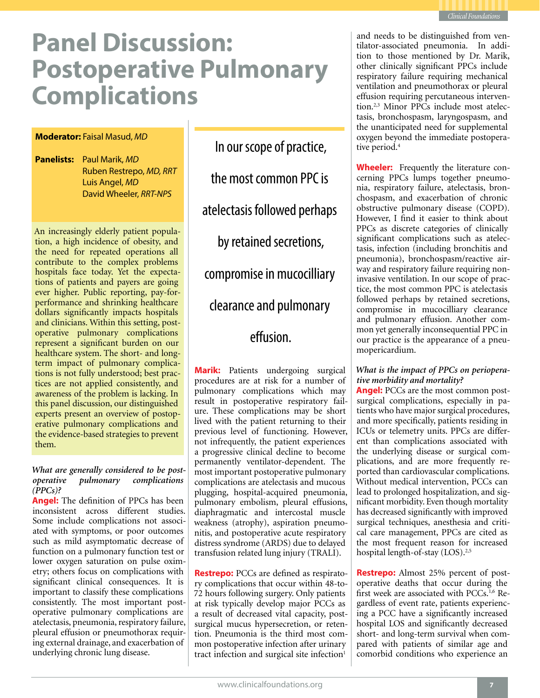

# **Panel Discussion: Postoperative Pulmonary Complications**

### **Moderator:** Faisal Masud, *MD*

**Panelists:** Paul Marik, *MD* Ruben Restrepo, *MD, RRT* Luis Angel, *MD* David Wheeler, *RRT-NPS*

An increasingly elderly patient population, a high incidence of obesity, and the need for repeated operations all contribute to the complex problems hospitals face today. Yet the expectations of patients and payers are going ever higher. Public reporting, pay-forperformance and shrinking healthcare dollars significantly impacts hospitals and clinicians. Within this setting, postoperative pulmonary complications represent a significant burden on our healthcare system. The short- and longterm impact of pulmonary complications is not fully understood; best practices are not applied consistently, and awareness of the problem is lacking. In this panel discussion, our distinguished experts present an overview of postoperative pulmonary complications and the evidence-based strategies to prevent them.

### *What are generally considered to be postoperative pulmonary complications (PPCs)?*

**Angel:** The definition of PPCs has been inconsistent across different studies. Some include complications not associated with symptoms, or poor outcomes such as mild asymptomatic decrease of function on a pulmonary function test or lower oxygen saturation on pulse oximetry; others focus on complications with significant clinical consequences. It is important to classify these complications consistently. The most important postoperative pulmonary complications are atelectasis, pneumonia, respiratory failure, pleural effusion or pneumothorax requiring external drainage, and exacerbation of underlying chronic lung disease.

In our scope of practice, the most common PPC is atelectasis followed perhaps by retained secretions, compromise in mucocilliary clearance and pulmonary effusion.

**Marik:** Patients undergoing surgical procedures are at risk for a number of pulmonary complications which may result in postoperative respiratory failure. These complications may be short lived with the patient returning to their previous level of functioning. However, not infrequently, the patient experiences a progressive clinical decline to become permanently ventilator-dependent. The most important postoperative pulmonary complications are atelectasis and mucous plugging, hospital-acquired pneumonia, pulmonary embolism, pleural effusions, diaphragmatic and intercostal muscle weakness (atrophy), aspiration pneumonitis, and postoperative acute respiratory distress syndrome (ARDS) due to delayed transfusion related lung injury (TRALI).

**Restrepo:** PCCs are defined as respiratory complications that occur within 48-to-72 hours following surgery. Only patients at risk typically develop major PCCs as a result of decreased vital capacity, postsurgical mucus hypersecretion, or retention. Pneumonia is the third most common postoperative infection after urinary tract infection and surgical site infection<sup>1</sup>

and needs to be distinguished from ventilator-associated pneumonia. In addition to those mentioned by Dr. Marik, other clinically significant PPCs include respiratory failure requiring mechanical ventilation and pneumothorax or pleural effusion requiring percutaneous intervention.2,3 Minor PPCs include most atelectasis, bronchospasm, laryngospasm, and the unanticipated need for supplemental oxygen beyond the immediate postoperative period.<sup>4</sup>

**Wheeler:** Frequently the literature concerning PPCs lumps together pneumonia, respiratory failure, atelectasis, bronchospasm, and exacerbation of chronic obstructive pulmonary disease (COPD). However, I find it easier to think about PPCs as discrete categories of clinically significant complications such as atelectasis, infection (including bronchitis and pneumonia), bronchospasm/reactive airway and respiratory failure requiring noninvasive ventilation. In our scope of practice, the most common PPC is atelectasis followed perhaps by retained secretions, compromise in mucocilliary clearance and pulmonary effusion. Another common yet generally inconsequential PPC in our practice is the appearance of a pneumopericardium.

### *What is the impact of PPCs on perioperative morbidity and mortality?*

**Angel:** PCCs are the most common postsurgical complications, especially in patients who have major surgical procedures, and more specifically, patients residing in ICUs or telemetry units. PPCs are different than complications associated with the underlying disease or surgical complications, and are more frequently reported than cardiovascular complications. Without medical intervention, PCCs can lead to prolonged hospitalization, and significant morbidity. Even though mortality has decreased significantly with improved surgical techniques, anesthesia and critical care management, PPCs are cited as the most frequent reason for increased hospital length-of-stay (LOS).2,5

**Restrepo:** Almost 25% percent of postoperative deaths that occur during the first week are associated with PCCs.1,6 Regardless of event rate, patients experiencing a PCC have a significantly increased hospital LOS and significantly decreased short- and long-term survival when compared with patients of similar age and comorbid conditions who experience an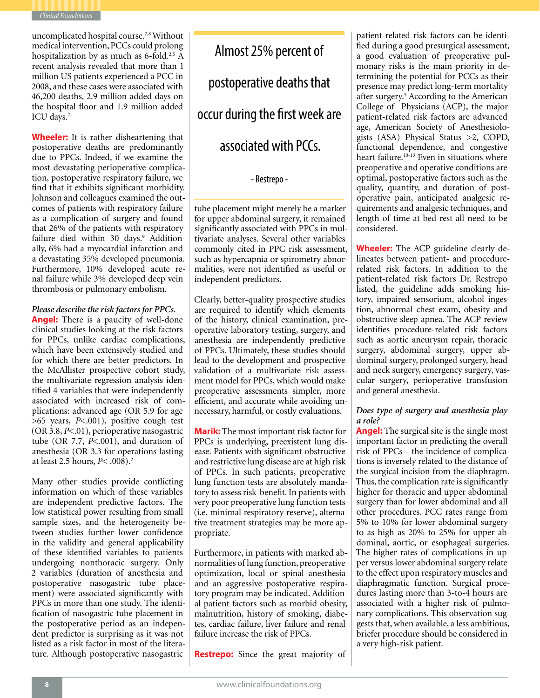

uncomplicated hospital course.7,8 Without medical intervention, PCCs could prolong hospitalization by as much as  $6$ -fold.<sup>2,5</sup> A recent analysis revealed that more than 1 million US patients experienced a PCC in 2008, and these cases were associated with 46,200 deaths, 2.9 million added days on the hospital floor and 1.9 million added ICU days.<sup>2</sup>

**Wheeler:** It is rather disheartening that postoperative deaths are predominantly due to PPCs. Indeed, if we examine the most devastating perioperative complication, postoperative respiratory failure, we find that it exhibits significant morbidity. Johnson and colleagues examined the outcomes of patients with respiratory failure as a complication of surgery and found that 26% of the patients with respiratory failure died within 30 days.<sup>9</sup> Additionally, 6% had a myocardial infarction and a devastating 35% developed pneumonia. Furthermore, 10% developed acute renal failure while 3% developed deep vein thrombosis or pulmonary embolism.

### *Please describe the risk factors for PPCs.*

**Angel:** There is a paucity of well-done clinical studies looking at the risk factors for PPCs, unlike cardiac complications, which have been extensively studied and for which there are better predictors. In the McAllister prospective cohort study, the multivariate regression analysis identified 4 variables that were independently associated with increased risk of complications: advanced age (OR 5.9 for age >65 years, *P*<.001), positive cough test (OR 3.8, *P*<.01), perioperative nasogastric tube (OR 7.7, *P*<.001), and duration of anesthesia (OR 3.3 for operations lasting at least 2.5 hours, *P*< .008).2

Many other studies provide conflicting information on which of these variables are independent predictive factors. The low statistical power resulting from small sample sizes, and the heterogeneity between studies further lower confidence in the validity and general applicability of these identified variables to patients undergoing nonthoracic surgery. Only 2 variables (duration of anesthesia and postoperative nasogastric tube placement) were associated significantly with PPCs in more than one study. The identification of nasogastric tube placement in the postoperative period as an independent predictor is surprising as it was not listed as a risk factor in most of the literature. Although postoperative nasogastric

Almost 25% percent of postoperative deaths that occur during the first week are associated with PCCs.

### - Restrepo -

tube placement might merely be a marker for upper abdominal surgery, it remained significantly associated with PPCs in multivariate analyses. Several other variables commonly cited in PPC risk assessment, such as hypercapnia or spirometry abnormalities, were not identified as useful or independent predictors.

Clearly, better-quality prospective studies are required to identify which elements of the history, clinical examination, preoperative laboratory testing, surgery, and anesthesia are independently predictive of PPCs. Ultimately, these studies should lead to the development and prospective validation of a multivariate risk assessment model for PPCs, which would make preoperative assessments simpler, more efficient, and accurate while avoiding unnecessary, harmful, or costly evaluations.

**Marik:** The most important risk factor for PPCs is underlying, preexistent lung disease. Patients with significant obstructive and restrictive lung disease are at high risk of PPCs. In such patients, preoperative lung function tests are absolutely mandatory to assess risk-benefit. In patients with very poor preoperative lung function tests (i.e. minimal respiratory reserve), alternative treatment strategies may be more appropriate.

Furthermore, in patients with marked abnormalities of lung function, preoperative optimization, local or spinal anesthesia and an aggressive postoperative respiratory program may be indicated. Additional patient factors such as morbid obesity, malnutrition, history of smoking, diabetes, cardiac failure, liver failure and renal failure increase the risk of PPCs.

**Restrepo:** Since the great majority of

patient-related risk factors can be identified during a good presurgical assessment, a good evaluation of preoperative pulmonary risks is the main priority in determining the potential for PCCs as their presence may predict long-term mortality after surgery.<sup>5</sup> According to the American College of Physicians (ACP), the major patient-related risk factors are advanced age, American Society of Anesthesiologists (ASA) Physical Status >2, COPD, functional dependence, and congestive heart failure.<sup>10-13</sup> Even in situations where preoperative and operative conditions are optimal, postoperative factors such as the quality, quantity, and duration of postoperative pain, anticipated analgesic requirements and analgesic techniques, and length of time at bed rest all need to be considered.

**Wheeler:** The ACP guideline clearly delineates between patient- and procedurerelated risk factors. In addition to the patient-related risk factors Dr. Restrepo listed, the guideline adds smoking history, impaired sensorium, alcohol ingestion, abnormal chest exam, obesity and obstructive sleep apnea. The ACP review identifies procedure-related risk factors such as aortic aneurysm repair, thoracic surgery, abdominal surgery, upper abdominal surgery, prolonged surgery, head and neck surgery, emergency surgery, vascular surgery, perioperative transfusion and general anesthesia.

### *Does type of surgery and anesthesia play a role?*

**Angel:** The surgical site is the single most important factor in predicting the overall risk of PPCs—the incidence of complications is inversely related to the distance of the surgical incision from the diaphragm. Thus, the complication rate is significantly higher for thoracic and upper abdominal surgery than for lower abdominal and all other procedures. PCC rates range from 5% to 10% for lower abdominal surgery to as high as 20% to 25% for upper abdominal, aortic, or esophageal surgeries. The higher rates of complications in upper versus lower abdominal surgery relate to the effect upon respiratory muscles and diaphragmatic function. Surgical procedures lasting more than 3-to-4 hours are associated with a higher risk of pulmonary complications. This observation suggests that, when available, a less ambitious, briefer procedure should be considered in a very high-risk patient.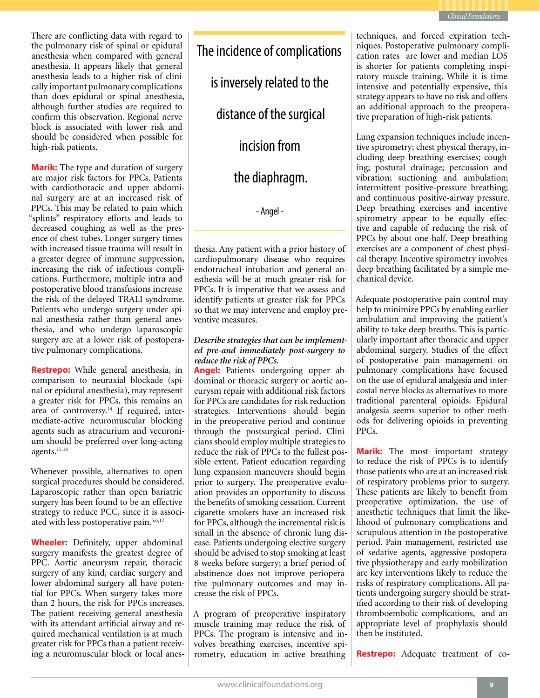

There are conflicting data with regard to the pulmonary risk of spinal or epidural anesthesia when compared with general anesthesia. It appears likely that general anesthesia leads to a higher risk of clinically important pulmonary complications than does epidural or spinal anesthesia, although further studies are required to confirm this observation. Regional nerve block is associated with lower risk and should be considered when possible for high-risk patients.

**Marik:** The type and duration of surgery are major risk factors for PPCs. Patients with cardiothoracic and upper abdominal surgery are at an increased risk of PPCs. This may be related to pain which "splints" respiratory efforts and leads to decreased coughing as well as the presence of chest tubes. Longer surgery times with increased tissue trauma will result in a greater degree of immune suppression, increasing the risk of infectious complications. Furthermore, multiple intra and postoperative blood transfusions increase the risk of the delayed TRALI syndrome. Patients who undergo surgery under spinal anesthesia rather than general anesthesia, and who undergo laparoscopic surgery are at a lower risk of postoperative pulmonary complications.

**Restrepo:** While general anesthesia, in comparison to neuraxial blockade (spinal or epidural anesthesia), may represent a greater risk for PPCs, this remains an area of controversy.<sup>14</sup> If required, intermediate-active neuromuscular blocking agents such as atracurium and vecuronium should be preferred over long-acting agents.15,16

Whenever possible, alternatives to open surgical procedures should be considered. Laparoscopic rather than open bariatric surgery has been found to be an effective strategy to reduce PCC, since it is associated with less postoperative pain.5,6,17

**Wheeler:** Definitely, upper abdominal surgery manifests the greatest degree of PPC. Aortic aneurysm repair, thoracic surgery of any kind, cardiac surgery and lower abdominal surgery all have potential for PPCs. When surgery takes more than 2 hours, the risk for PPCs increases. The patient receiving general anesthesia with its attendant artificial airway and required mechanical ventilation is at much greater risk for PPCs than a patient receiving a neuromuscular block or local anesThe incidence of complications is inversely related to the

distance of the surgical

incision from

the diaphragm.

- Angel -

thesia. Any patient with a prior history of cardiopulmonary disease who requires endotracheal intubation and general anesthesia will be at much greater risk for PPCs. It is imperative that we assess and identify patients at greater risk for PPCs so that we may intervene and employ preventive measures.

### *Describe strategies that can be implemented pre-and immediately post-surgery to reduce the risk of PPCs.*

**Angel:** Patients undergoing upper abdominal or thoracic surgery or aortic aneurysm repair with additional risk factors for PPCs are candidates for risk reduction strategies. Interventions should begin in the preoperative period and continue through the postsurgical period. Clinicians should employ multiple strategies to reduce the risk of PPCs to the fullest possible extent. Patient education regarding lung expansion maneuvers should begin prior to surgery. The preoperative evaluation provides an opportunity to discuss the benefits of smoking cessation. Current cigarette smokers have an increased risk for PPCs, although the incremental risk is small in the absence of chronic lung disease. Patients undergoing elective surgery should be advised to stop smoking at least 8 weeks before surgery; a brief period of abstinence does not improve perioperative pulmonary outcomes and may increase the risk of PPCs.

A program of preoperative inspiratory muscle training may reduce the risk of PPCs. The program is intensive and involves breathing exercises, incentive spirometry, education in active breathing

techniques, and forced expiration techniques. Postoperative pulmonary complication rates are lower and median LOS is shorter for patients completing inspiratory muscle training. While it is time intensive and potentially expensive, this strategy appears to have no risk and offers an additional approach to the preoperative preparation of high-risk patients.

Lung expansion techniques include incentive spirometry; chest physical therapy, including deep breathing exercises; coughing; postural drainage; percussion and vibration; suctioning and ambulation; intermittent positive-pressure breathing; and continuous positive-airway pressure. Deep breathing exercises and incentive spirometry appear to be equally effective and capable of reducing the risk of PPCs by about one-half. Deep breathing exercises are a component of chest physical therapy. Incentive spirometry involves deep breathing facilitated by a simple mechanical device.

Adequate postoperative pain control may help to minimize PPCs by enabling earlier ambulation and improving the patient's ability to take deep breaths. This is particularly important after thoracic and upper abdominal surgery. Studies of the effect of postoperative pain management on pulmonary complications have focused on the use of epidural analgesia and intercostal nerve blocks as alternatives to more traditional parenteral opioids. Epidural analgesia seems superior to other methods for delivering opioids in preventing PPCs.

**Marik:** The most important strategy to reduce the risk of PPCs is to identify those patients who are at an increased risk of respiratory problems prior to surgery. These patients are likely to benefit from preoperative optimization, the use of anesthetic techniques that limit the likelihood of pulmonary complications and scrupulous attention in the postoperative period. Pain management, restricted use of sedative agents, aggressive postoperative physiotherapy and early mobilization are key interventions likely to reduce the risks of respiratory complications. All patients undergoing surgery should be stratified according to their risk of developing thromboembolic complications, and an appropriate level of prophylaxis should then be instituted.

**Restrepo:** Adequate treatment of co-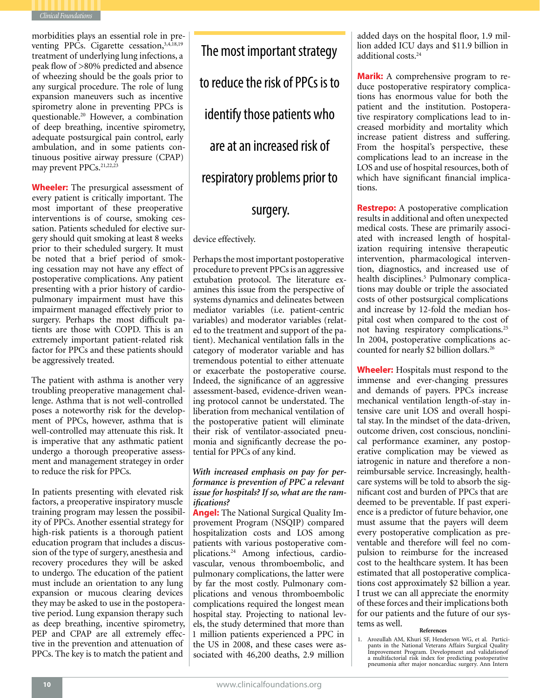

morbidities plays an essential role in preventing PPCs. Cigarette cessation,<sup>3,4,18,19</sup> treatment of underlying lung infections, a peak flow of >80% predicted and absence of wheezing should be the goals prior to any surgical procedure. The role of lung expansion maneuvers such as incentive spirometry alone in preventing PPCs is questionable.20 However, a combination of deep breathing, incentive spirometry, adequate postsurgical pain control, early ambulation, and in some patients continuous positive airway pressure (CPAP) may prevent PPCs.<sup>21,22,23</sup>

**Wheeler:** The presurgical assessment of every patient is critically important. The most important of these preoperative interventions is of course, smoking cessation. Patients scheduled for elective surgery should quit smoking at least 8 weeks prior to their scheduled surgery. It must be noted that a brief period of smoking cessation may not have any effect of postoperative complications. Any patient presenting with a prior history of cardiopulmonary impairment must have this impairment managed effectively prior to surgery. Perhaps the most difficult patients are those with COPD. This is an extremely important patient-related risk factor for PPCs and these patients should be aggressively treated.

The patient with asthma is another very troubling preoperative management challenge. Asthma that is not well-controlled poses a noteworthy risk for the development of PPCs, however, asthma that is well-controlled may attenuate this risk. It is imperative that any asthmatic patient undergo a thorough preoperative assessment and management strategey in order to reduce the risk for PPCs.

In patients presenting with elevated risk factors, a preoperative inspiratory muscle training program may lessen the possibility of PPCs. Another essential strategy for high-risk patients is a thorough patient education program that includes a discussion of the type of surgery, anesthesia and recovery procedures they will be asked to undergo. The education of the patient must include an orientation to any lung expansion or mucous clearing devices they may be asked to use in the postoperative period. Lung expansion therapy such as deep breathing, incentive spirometry, PEP and CPAP are all extremely effective in the prevention and attenuation of PPCs. The key is to match the patient and

The most important strategy to reduce the risk of PPCs is to identify those patients who are at an increased risk of respiratory problems prior to

## surgery.

device effectively.

Perhaps the most important postoperative procedure to prevent PPCs is an aggressive extubation protocol. The literature examines this issue from the perspective of systems dynamics and delineates between mediator variables (i.e. patient-centric variables) and moderator variables (related to the treatment and support of the patient). Mechanical ventilation falls in the category of moderator variable and has tremendous potential to either attenuate or exacerbate the postoperative course. Indeed, the significance of an aggressive assessment-based, evidence-driven weaning protocol cannot be understated. The liberation from mechanical ventilation of the postoperative patient will eliminate their risk of ventilator-associated pneumonia and significantly decrease the potential for PPCs of any kind.

### *With increased emphasis on pay for performance is prevention of PPC a relevant issue for hospitals? If so, what are the ramifications?*

**Angel:** The National Surgical Quality Improvement Program (NSQIP) compared hospitalization costs and LOS among patients with various postoperative complications.24 Among infectious, cardiovascular, venous thromboembolic, and pulmonary complications, the latter were by far the most costly. Pulmonary complications and venous thromboembolic complications required the longest mean hospital stay. Projecting to national levels, the study determined that more than 1 million patients experienced a PPC in the US in 2008, and these cases were associated with 46,200 deaths, 2.9 million

added days on the hospital floor, 1.9 million added ICU days and \$11.9 billion in additional costs.24

**Marik:** A comprehensive program to reduce postoperative respiratory complications has enormous value for both the patient and the institution. Postoperative respiratory complications lead to increased morbidity and mortality which increase patient distress and suffering. From the hospital's perspective, these complications lead to an increase in the LOS and use of hospital resources, both of which have significant financial implications.

**Restrepo:** A postoperative complication results in additional and often unexpected medical costs. These are primarily associated with increased length of hospitalization requiring intensive therapeutic intervention, pharmacological intervention, diagnostics, and increased use of health disciplines.<sup>5</sup> Pulmonary complications may double or triple the associated costs of other postsurgical complications and increase by 12-fold the median hospital cost when compared to the cost of not having respiratory complications.25 In 2004, postoperative complications accounted for nearly \$2 billion dollars.26

**Wheeler:** Hospitals must respond to the immense and ever-changing pressures and demands of payers. PPCs increase mechanical ventilation length-of-stay intensive care unit LOS and overall hospital stay. In the mindset of the data-driven, outcome driven, cost conscious, nonclinical performance examiner, any postoperative complication may be viewed as iatrogenic in nature and therefore a nonreimbursable service. Increasingly, healthcare systems will be told to absorb the significant cost and burden of PPCs that are deemed to be preventable. If past experience is a predictor of future behavior, one must assume that the payers will deem every postoperative complication as preventable and therefore will feel no compulsion to reimburse for the increased cost to the healthcare system. It has been estimated that all postoperative complications cost approximately \$2 billion a year. I trust we can all appreciate the enormity of these forces and their implications both for our patients and the future of our systems as well.

### **References**

<sup>1.</sup> Arozullah AM, Khuri SF, Henderson WG, et al. Partici- pants in the National Veterans Affairs Surgical Quality Improvement Program. Development and validationof a multifactorial risk index for predicting postoperative pneumonia after major noncardiac surgery. Ann Intern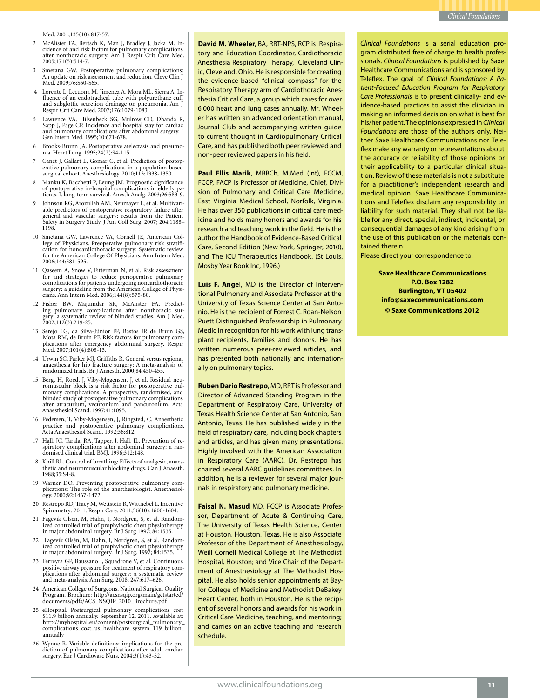Med. 2001;135(10):847-57.

- <sup>2</sup> McAlister FA, Bertsch K, Man J, Bradley J, Jacka M. In- cidence of and risk factors for pulmonary complications after nonthoracic surgery. Am J Respir Crit Care Med. 2005;171(5):514-7.
- 3 Smetana GW. Postoperative pulmonary complications: An update on risk assessment and reduction. Cleve Clin J Med. 2009;76:S60-S65.
- <sup>4</sup> Lorente L, Lecuona M, Jimenez A, Mora ML, Sierra A. In- fluence of an endotracheal tube with polyurethane cuff and subglottic secretion drainage on pneumonia. Am J Respir Crit Care Med. 2007;176:1079-1083.
- 5 Lawrence VA, Hilsenbeck SG, Mulrow CD, Dhanda R, Sapp J, Page CP. Incidence and hospital stay for cardiac and pulmonary complications after abdominal surgery. J Gen Intern Med. 1995;10:671-678.
- <sup>6</sup> Brooks-Brunn JA. Postoperative atelectasis and pneumo- nia. Heart Lung. 1995;24(2):94-115.
- <sup>7</sup> Canet J, Gallart L, Gomar C, et al. Prediction of postop- erative pulmonary complications in a population-based surgical cohort. Anesthesiology. 2010;113:1338-1350.
- 8 Manku K, Bacchetti P, Leung JM. Prognostic significance of postoperative in-hospital complications in elderly patients. I. long-term survival. Anesth Analg. 2003;96:583-9.
- <sup>9</sup> Johnson RG, Arozullah AM, Neumayer L, et al. Multivari- able predictors of postoperative respiratory failure after general and vascular surgery: results from the Patient Safety in Surgery Study. J Am Coll Surg. 2007; 204:1188– 1198.
- 10 Smetana GW, Lawrence VA, Cornell JE, American College of Physicians. Preoperative pulmonary risk stratifi-cation for noncardiothoracic surgery: Systematic review for the American College Of Physicians. Ann Intern Med. 2006;144:581-595.
- 11 Qaseem A, Snow V, Fitterman N, et al. Risk assessment for and strategies to reduce perioperative pulmonary complications for patients undergoing noncardiothoracic cians. Ann Intern Med. 2006;144(8):575-80.
- <sup>12</sup> Fisher BW, Majumdar SR, McAlister FA. Predict- ing pulmonary complications after nonthoracic sur- gery: a systematic review of blinded studies. Am J Med. 2002;112(3):219-25.
- 13 Serejo LG, da Silva-Júnior FP, Bastos JP, de Bruin GS, Mota RM, de Bruin PF. Risk factors for pulmonary comlications after emergency abdominal surgery. Respir Med. 2007;101(4):808-13.
- 14 Urwin SC, Parker MJ, Griffiths R. General versus regional anaesthesia for hip fracture surgery: A meta-analysis of randomized trials. Br J Anaesth. 2000;84:450-455.
- <sup>15</sup> Berg, H, Roed, J, Viby-Mogensen, J, et al. Residual neu- romuscular block is a risk factor for postoperative pul- monary complications. A prospective, randomised, and blinded study of postoperative pulmonary complications after atracurium, vecuronium and pancuronium. Acta Anaesthesiol Scand. 1997;41:1095.
- 16 Pedersen, T, Viby-Mogensen, J, Ringsted, C. Anaesthetic practice and postoperative pulmonary complications. Acta Anaesthesiol Scand. 1992;36:812.
- <sup>17</sup> Hall, JC, Tarala, RA, Tapper, J, Hall, JL. Prevention of re- spiratory complications after abdominal surgery: a ran- domised clinical trial. BMJ. 1996;312:148.
- 18 Knill RL. Control of breathing: Effects of analgesic, anaes-thetic and neuromuscular blocking drugs. Can J Anaesth. 1988;35:S4-8.
- <sup>19</sup> Warner DO. Preventing postoperative pulmonary com- plications: The role of the anesthesiologist. Anesthesiology. 2000;92:1467-1472.
- 20 Restrepo RD, Tracy M, Wettstein R, Wittnebel L. Incentive Spirometry: 2011. Respir Care. 2011;56(10):1600-1604.
- <sup>21</sup> Fagevik Olsén, M, Hahn, I, Nordgren, S, et al. Random- ized controlled trial of prophylactic chest physiotherapy in major abdominal surgery. Br J Surg 1997; 84:1535.
- 22 Fagevik Olsén, M, Hahn, I, Nordgren, S, et al. Random- ized controlled trial of prophylactic chest physiotherapy in major abdominal surgery. Br J Surg. 1997; 84:1535.
- 23 Ferreyra GP, Baussano I, Squadrone V, et al. Continuous positive airway pressure for treatment of respiratory complications after abdominal surgery: a systematic review and meta-analysis. Ann Surg. 2008; 247:617–626.
- 24 American College of Surgeons. National Surgical Quality Program. Brochure: http://acsnsqip.org/main/getstarted/ documents/pdfs/ACS\_NSQIP\_2010\_Brochure.pdf
- 25 eHospital. Postsurgical pulmonary complications cost \$11.9 billion annually. September 12, 2011. Available at: http://myhospital.eu/content/postsurgical\_pulmonary\_ complications\_cost\_us\_healthcare\_system\_119\_billion\_ annually
- <sup>26</sup> Wynne R. Variable definitions: implications for the pre- diction of pulmonary complications after adult cardiac surgery. Eur J Cardiovasc Nurs. 2004;3(1):43-52.

**David M. Wheeler**, BA, RRT-NPS, RCP is Respiratory and Education Coordinator, Cardiothoracic Anesthesia Respiratory Therapy, Cleveland Clinic, Cleveland, Ohio. He is responsible for creating the evidence-based "clinical compass" for the Respiratory Therapy arm of Cardiothoracic Anesthesia Critical Care, a group which cares for over 6,000 heart and lung cases annually. Mr. Wheeler has written an advanced orientation manual, Journal Club and accompanying written guide to current thought in Cardiopulmonary Critical Care, and has published both peer reviewed and non-peer reviewed papers in his field.

**Paul Ellis Marik**, MBBCh, M.Med (Int), FCCM, FCCP, FACP is Professor of Medicine, Chief, Division of Pulmonary and Critical Care Medicine, East Virginia Medical School, Norfolk, Virginia. He has over 350 publications in critical care medicine and holds many honors and awards for his research and teaching work in the field. He is the author the Handbook of Evidence-Based Critical Care, Second Edition (New York, Springer, 2010), and The ICU Therapeutics Handbook. (St Louis. Mosby Year Book Inc, 1996.)

**Luis F. Ange**l, MD is the Director of Interventional Pulmonary and Associate Professor at the University of Texas Science Center at San Antonio. He is the recipient of Forrest C. Roan-Nelson Puett Distinguished Professorship in Pulmonary Medic in recognition for his work with lung transplant recipients, families and donors. He has written numerous peer-reviewed articles, and has presented both nationally and internationally on pulmonary topics.

**Ruben Dario Restrepo**, MD, RRT is Professor and Director of Advanced Standing Program in the Department of Respiratory Care, University of Texas Health Science Center at San Antonio, San Antonio, Texas. He has published widely in the field of respiratory care, including book chapters and articles, and has given many presentations. Highly involved with the American Association in Respiratory Care (AARC), Dr. Restrepo has chaired several AARC guidelines committees. In addition, he is a reviewer for several major journals in respiratory and pulmonary medicine.

**Faisal N. Masud** MD, FCCP is Associate Professor, Department of Acute & Continuing Care, The University of Texas Health Science, Center at Houston, Houston, Texas. He is also Associate Professor of the Department of Anesthesiology, Weill Cornell Medical College at The Methodist Hospital, Houston; and Vice Chair of the Department of Anesthesiology at The Methodist Hospital. He also holds senior appointments at Baylor College of Medicine and Methodist DeBakey Heart Center, both in Houston. He is the recipient of several honors and awards for his work in Critical Care Medicine, teaching, and mentoring; and carries on an active teaching and research schedule.

*Clinical Foundations* is a serial education program distributed free of charge to health professionals. *Clinical Foundations* is published by Saxe Healthcare Communications and is sponsored by Teleflex. The goal of *Clinical Foundations: A Patient-Focused Education Program for Respiratory Care Professionals* is to present clinically- and evidence-based practices to assist the clinician in making an informed decision on what is best for his/her patient. The opinions expressed in *Clinical Foundations* are those of the authors only. Neither Saxe Healthcare Communications nor Teleflex make any warranty or representations about the accuracy or reliability of those opinions or their applicability to a particular clinical situation. Review of these materials is not a substitute for a practitioner's independent research and medical opinion. Saxe Healthcare Communications and Teleflex disclaim any responsibility or liability for such material. They shall not be liable for any direct, special, indirect, incidental, or consequential damages of any kind arising from the use of this publication or the materials contained therein.

Please direct your correspondence to:

**Saxe Healthcare Communications P.O. Box 1282 Burlington, VT 05402 info@saxecommunications.com © Saxe Communications 2012**